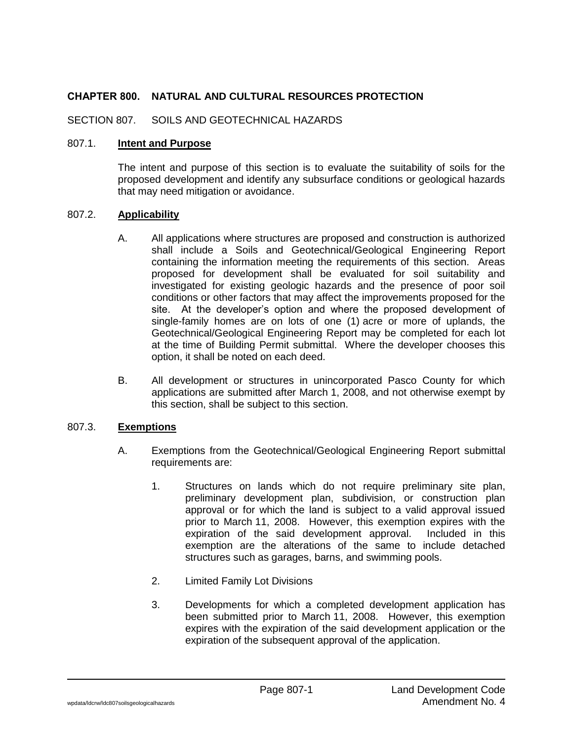## **CHAPTER 800. NATURAL AND CULTURAL RESOURCES PROTECTION**

SECTION 807. SOILS AND GEOTECHNICAL HAZARDS

## 807.1. **Intent and Purpose**

The intent and purpose of this section is to evaluate the suitability of soils for the proposed development and identify any subsurface conditions or geological hazards that may need mitigation or avoidance.

## 807.2. **Applicability**

- A. All applications where structures are proposed and construction is authorized shall include a Soils and Geotechnical/Geological Engineering Report containing the information meeting the requirements of this section. Areas proposed for development shall be evaluated for soil suitability and investigated for existing geologic hazards and the presence of poor soil conditions or other factors that may affect the improvements proposed for the site. At the developer's option and where the proposed development of single-family homes are on lots of one (1) acre or more of uplands, the Geotechnical/Geological Engineering Report may be completed for each lot at the time of Building Permit submittal. Where the developer chooses this option, it shall be noted on each deed.
- B. All development or structures in unincorporated Pasco County for which applications are submitted after March 1, 2008, and not otherwise exempt by this section, shall be subject to this section.

## 807.3. **Exemptions**

- A. Exemptions from the Geotechnical/Geological Engineering Report submittal requirements are:
	- 1. Structures on lands which do not require preliminary site plan, preliminary development plan, subdivision, or construction plan approval or for which the land is subject to a valid approval issued prior to March 11, 2008. However, this exemption expires with the expiration of the said development approval. Included in this exemption are the alterations of the same to include detached structures such as garages, barns, and swimming pools.
	- 2. Limited Family Lot Divisions
	- 3. Developments for which a completed development application has been submitted prior to March 11, 2008. However, this exemption expires with the expiration of the said development application or the expiration of the subsequent approval of the application.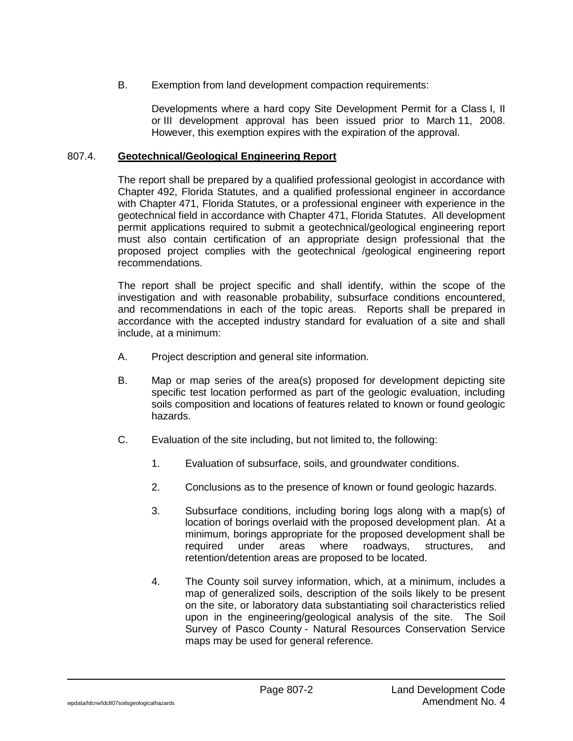B. Exemption from land development compaction requirements:

Developments where a hard copy Site Development Permit for a Class I, II or III development approval has been issued prior to March 11, 2008. However, this exemption expires with the expiration of the approval.

### 807.4. **Geotechnical/Geological Engineering Report**

The report shall be prepared by a qualified professional geologist in accordance with Chapter 492, Florida Statutes, and a qualified professional engineer in accordance with Chapter 471, Florida Statutes, or a professional engineer with experience in the geotechnical field in accordance with Chapter 471, Florida Statutes. All development permit applications required to submit a geotechnical/geological engineering report must also contain certification of an appropriate design professional that the proposed project complies with the geotechnical /geological engineering report recommendations.

The report shall be project specific and shall identify, within the scope of the investigation and with reasonable probability, subsurface conditions encountered, and recommendations in each of the topic areas. Reports shall be prepared in accordance with the accepted industry standard for evaluation of a site and shall include, at a minimum:

- A. Project description and general site information.
- B. Map or map series of the area(s) proposed for development depicting site specific test location performed as part of the geologic evaluation, including soils composition and locations of features related to known or found geologic hazards.
- C. Evaluation of the site including, but not limited to, the following:
	- 1. Evaluation of subsurface, soils, and groundwater conditions.
	- 2. Conclusions as to the presence of known or found geologic hazards.
	- 3. Subsurface conditions, including boring logs along with a map(s) of location of borings overlaid with the proposed development plan. At a minimum, borings appropriate for the proposed development shall be required under areas where roadways, structures, and retention/detention areas are proposed to be located.
	- 4. The County soil survey information, which, at a minimum, includes a map of generalized soils, description of the soils likely to be present on the site, or laboratory data substantiating soil characteristics relied upon in the engineering/geological analysis of the site. The Soil Survey of Pasco County - Natural Resources Conservation Service maps may be used for general reference.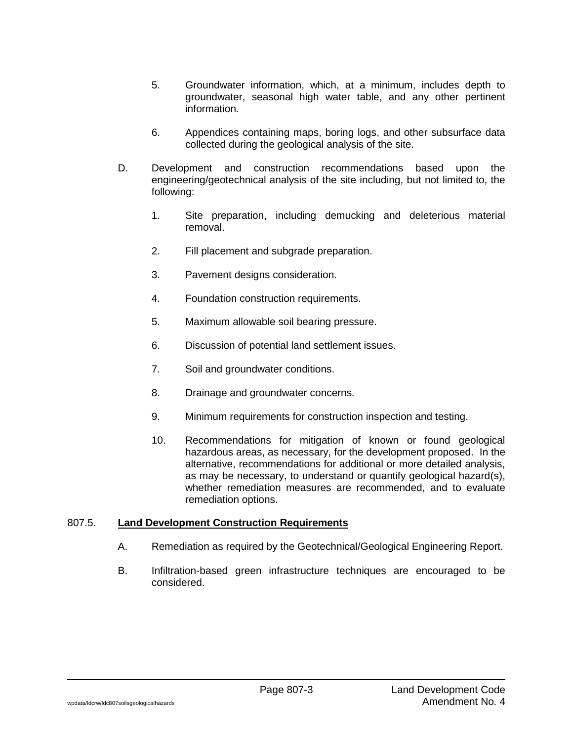- 5. Groundwater information, which, at a minimum, includes depth to groundwater, seasonal high water table, and any other pertinent information.
- 6. Appendices containing maps, boring logs, and other subsurface data collected during the geological analysis of the site.
- D. Development and construction recommendations based upon the engineering/geotechnical analysis of the site including, but not limited to, the following:
	- 1. Site preparation, including demucking and deleterious material removal.
	- 2. Fill placement and subgrade preparation.
	- 3. Pavement designs consideration.
	- 4. Foundation construction requirements.
	- 5. Maximum allowable soil bearing pressure.
	- 6. Discussion of potential land settlement issues.
	- 7. Soil and groundwater conditions.
	- 8. Drainage and groundwater concerns.
	- 9. Minimum requirements for construction inspection and testing.
	- 10. Recommendations for mitigation of known or found geological hazardous areas, as necessary, for the development proposed. In the alternative, recommendations for additional or more detailed analysis, as may be necessary, to understand or quantify geological hazard(s), whether remediation measures are recommended, and to evaluate remediation options.

#### 807.5. **Land Development Construction Requirements**

- A. Remediation as required by the Geotechnical/Geological Engineering Report.
- B. Infiltration-based green infrastructure techniques are encouraged to be considered.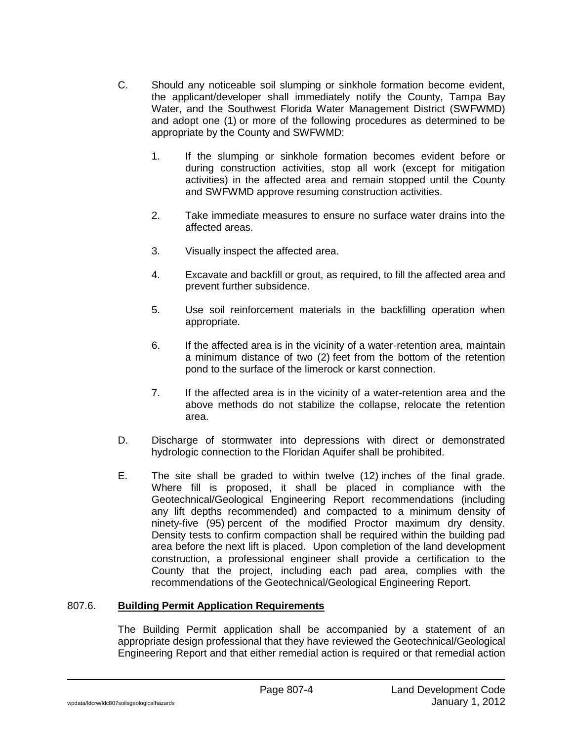- C. Should any noticeable soil slumping or sinkhole formation become evident, the applicant/developer shall immediately notify the County, Tampa Bay Water, and the Southwest Florida Water Management District (SWFWMD) and adopt one (1) or more of the following procedures as determined to be appropriate by the County and SWFWMD:
	- 1. If the slumping or sinkhole formation becomes evident before or during construction activities, stop all work (except for mitigation activities) in the affected area and remain stopped until the County and SWFWMD approve resuming construction activities.
	- 2. Take immediate measures to ensure no surface water drains into the affected areas.
	- 3. Visually inspect the affected area.
	- 4. Excavate and backfill or grout, as required, to fill the affected area and prevent further subsidence.
	- 5. Use soil reinforcement materials in the backfilling operation when appropriate.
	- 6. If the affected area is in the vicinity of a water-retention area, maintain a minimum distance of two (2) feet from the bottom of the retention pond to the surface of the limerock or karst connection.
	- 7. If the affected area is in the vicinity of a water-retention area and the above methods do not stabilize the collapse, relocate the retention area.
- D. Discharge of stormwater into depressions with direct or demonstrated hydrologic connection to the Floridan Aquifer shall be prohibited.
- E. The site shall be graded to within twelve (12) inches of the final grade. Where fill is proposed, it shall be placed in compliance with the Geotechnical/Geological Engineering Report recommendations (including any lift depths recommended) and compacted to a minimum density of ninety-five (95) percent of the modified Proctor maximum dry density. Density tests to confirm compaction shall be required within the building pad area before the next lift is placed. Upon completion of the land development construction, a professional engineer shall provide a certification to the County that the project, including each pad area, complies with the recommendations of the Geotechnical/Geological Engineering Report.

# 807.6. **Building Permit Application Requirements**

The Building Permit application shall be accompanied by a statement of an appropriate design professional that they have reviewed the Geotechnical/Geological Engineering Report and that either remedial action is required or that remedial action